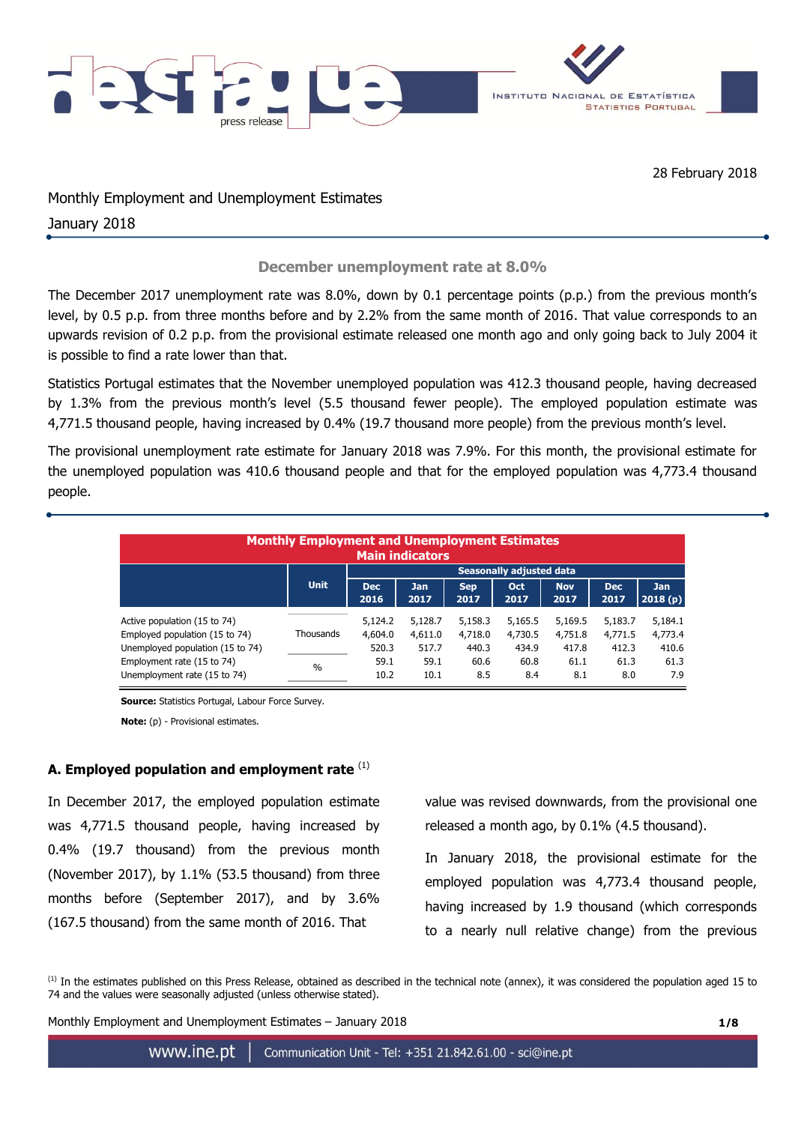

28 February 2018

Monthly Employment and Unemployment Estimates

January 2018

# **December unemployment rate at 8.0%**

The December 2017 unemployment rate was 8.0%, down by 0.1 percentage points (p.p.) from the previous month's level, by 0.5 p.p. from three months before and by 2.2% from the same month of 2016. That value corresponds to an upwards revision of 0.2 p.p. from the provisional estimate released one month ago and only going back to July 2004 it is possible to find a rate lower than that.

Statistics Portugal estimates that the November unemployed population was 412.3 thousand people, having decreased by 1.3% from the previous month's level (5.5 thousand fewer people). The employed population estimate was 4,771.5 thousand people, having increased by 0.4% (19.7 thousand more people) from the previous month's level.

The provisional unemployment rate estimate for January 2018 was 7.9%. For this month, the provisional estimate for the unemployed population was 410.6 thousand people and that for the employed population was 4,773.4 thousand people.

| <b>Monthly Employment and Unemployment Estimates</b><br><b>Main indicators</b> |             |                                 |                    |             |             |                    |                    |                |  |  |
|--------------------------------------------------------------------------------|-------------|---------------------------------|--------------------|-------------|-------------|--------------------|--------------------|----------------|--|--|
|                                                                                |             | <b>Seasonally adjusted data</b> |                    |             |             |                    |                    |                |  |  |
|                                                                                | <b>Unit</b> | <b>Dec</b><br>2016              | <b>Jan</b><br>2017 | Sep<br>2017 | Oct<br>2017 | <b>Nov</b><br>2017 | <b>Dec</b><br>2017 | Jan<br>2018(p) |  |  |
| Active population (15 to 74)                                                   |             | 5,124.2                         | 5,128.7            | 5,158.3     | 5,165.5     | 5,169.5            | 5,183.7            | 5,184.1        |  |  |
| Employed population (15 to 74)                                                 | Thousands   | 4,604.0                         | 4,611.0            | 4,718.0     | 4,730.5     | 4,751.8            | 4,771.5            | 4,773.4        |  |  |
| Unemployed population (15 to 74)                                               |             | 520.3                           | 517.7              | 440.3       | 434.9       | 417.8              | 412.3              | 410.6          |  |  |
| Employment rate (15 to 74)                                                     | $\%$        | 59.1                            | 59.1               | 60.6        | 60.8        | 61.1               | 61.3               | 61.3           |  |  |
| Unemployment rate (15 to 74)                                                   |             | 10.2                            | 10.1               | 8.5         | 8.4         | 8.1                | 8.0                | 7.9            |  |  |

**Source:** Statistics Portugal, Labour Force Survey.

**Note:** (p) - Provisional estimates.

# **A. Employed population and employment rate** (1)

In December 2017, the employed population estimate was 4,771.5 thousand people, having increased by 0.4% (19.7 thousand) from the previous month (November 2017), by 1.1% (53.5 thousand) from three months before (September 2017), and by 3.6% (167.5 thousand) from the same month of 2016. That

value was revised downwards, from the provisional one released a month ago, by 0.1% (4.5 thousand).

In January 2018, the provisional estimate for the employed population was 4,773.4 thousand people, having increased by 1.9 thousand (which corresponds to a nearly null relative change) from the previous

 $<sup>(1)</sup>$  In the estimates published on this Press Release, obtained as described in the technical note (annex), it was considered the population aged 15 to</sup> 74 and the values were seasonally adjusted (unless otherwise stated).

Monthly Employment and Unemployment Estimates – January 2018 **1/8**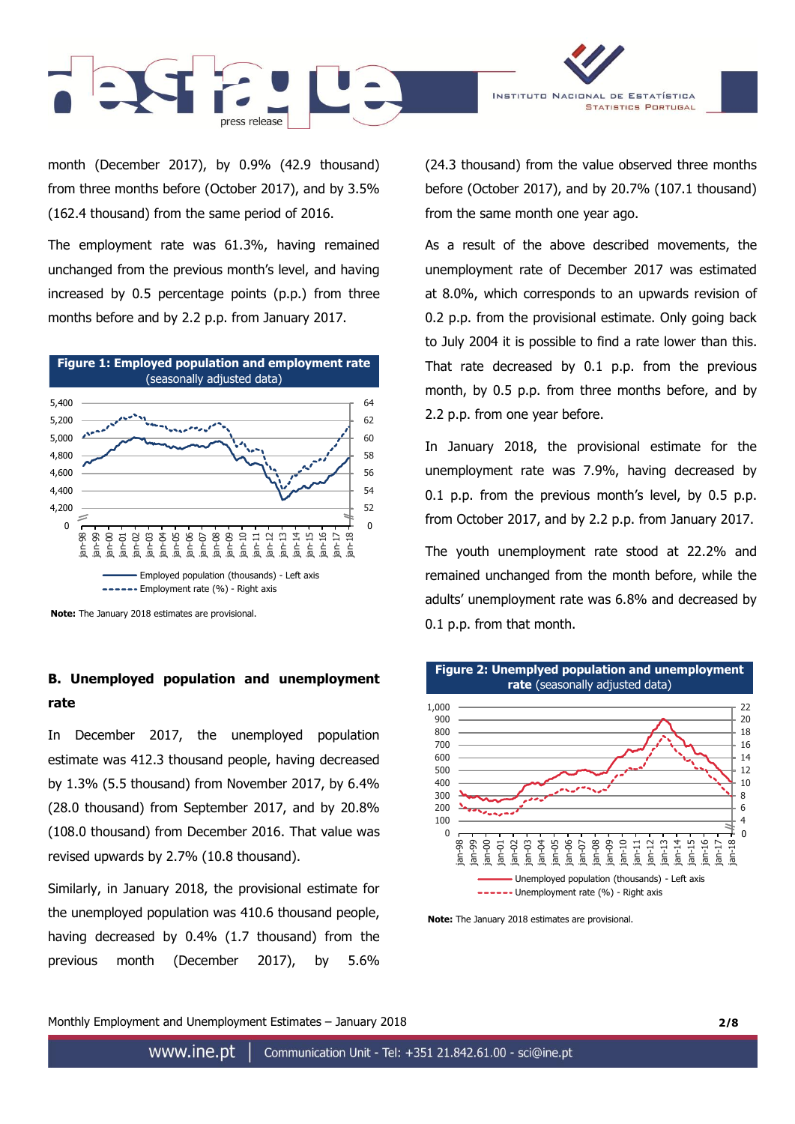



The employment rate was 61.3%, having remained unchanged from the previous month's level, and having increased by 0.5 percentage points (p.p.) from three months before and by 2.2 p.p. from January 2017.



**Note:** The January 2018 estimates are provisional.

# **B. Unemployed population and unemployment rate**

In December 2017, the unemployed population estimate was 412.3 thousand people, having decreased by 1.3% (5.5 thousand) from November 2017, by 6.4% (28.0 thousand) from September 2017, and by 20.8% (108.0 thousand) from December 2016. That value was revised upwards by 2.7% (10.8 thousand).

Similarly, in January 2018, the provisional estimate for the unemployed population was 410.6 thousand people, having decreased by 0.4% (1.7 thousand) from the previous month (December 2017), by 5.6% (24.3 thousand) from the value observed three months before (October 2017), and by 20.7% (107.1 thousand) from the same month one year ago.

INSTITUTO NACIONAL DE ESTATÍSTICA

**STATISTICS PORTUGAL** 

As a result of the above described movements, the unemployment rate of December 2017 was estimated at 8.0%, which corresponds to an upwards revision of 0.2 p.p. from the provisional estimate. Only going back to July 2004 it is possible to find a rate lower than this. That rate decreased by 0.1 p.p. from the previous month, by 0.5 p.p. from three months before, and by 2.2 p.p. from one year before.

In January 2018, the provisional estimate for the unemployment rate was 7.9%, having decreased by 0.1 p.p. from the previous month's level, by 0.5 p.p. from October 2017, and by 2.2 p.p. from January 2017.

The youth unemployment rate stood at 22.2% and remained unchanged from the month before, while the adults' unemployment rate was 6.8% and decreased by 0.1 p.p. from that month.



**Note:** The January 2018 estimates are provisional.

Monthly Employment and Unemployment Estimates – January 2018 **2/8**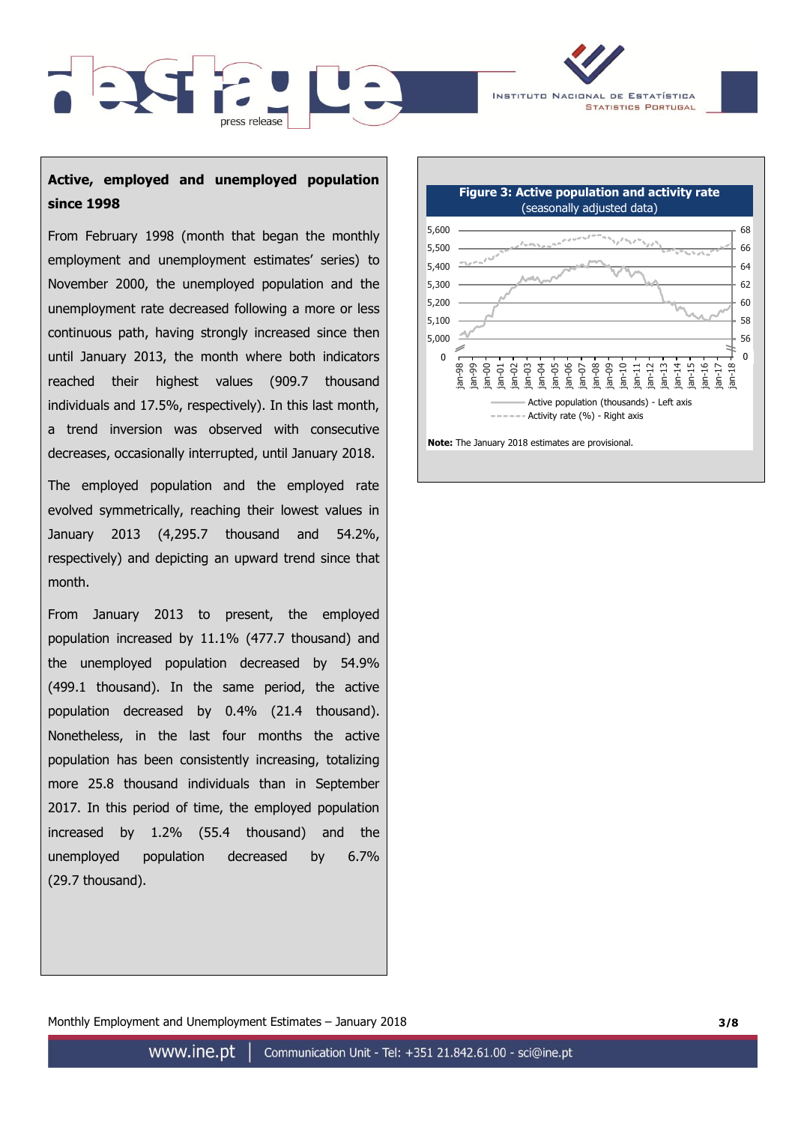

# **Active, employed and unemployed population since 1998**

press release

From February 1998 (month that began the monthly employment and unemployment estimates' series) to November 2000, the unemployed population and the unemployment rate decreased following a more or less continuous path, having strongly increased since then until January 2013, the month where both indicators reached their highest values (909.7 thousand individuals and 17.5%, respectively). In this last month, a trend inversion was observed with consecutive decreases, occasionally interrupted, until January 2018.

The employed population and the employed rate evolved symmetrically, reaching their lowest values in January 2013 (4,295.7 thousand and 54.2%, respectively) and depicting an upward trend since that month.

From January 2013 to present, the employed population increased by 11.1% (477.7 thousand) and the unemployed population decreased by 54.9% (499.1 thousand). In the same period, the active population decreased by 0.4% (21.4 thousand). Nonetheless, in the last four months the active population has been consistently increasing, totalizing more 25.8 thousand individuals than in September 2017. In this period of time, the employed population increased by 1.2% (55.4 thousand) and the unemployed population decreased by 6.7% (29.7 thousand).



Monthly Employment and Unemployment Estimates – January 2018 **3/8**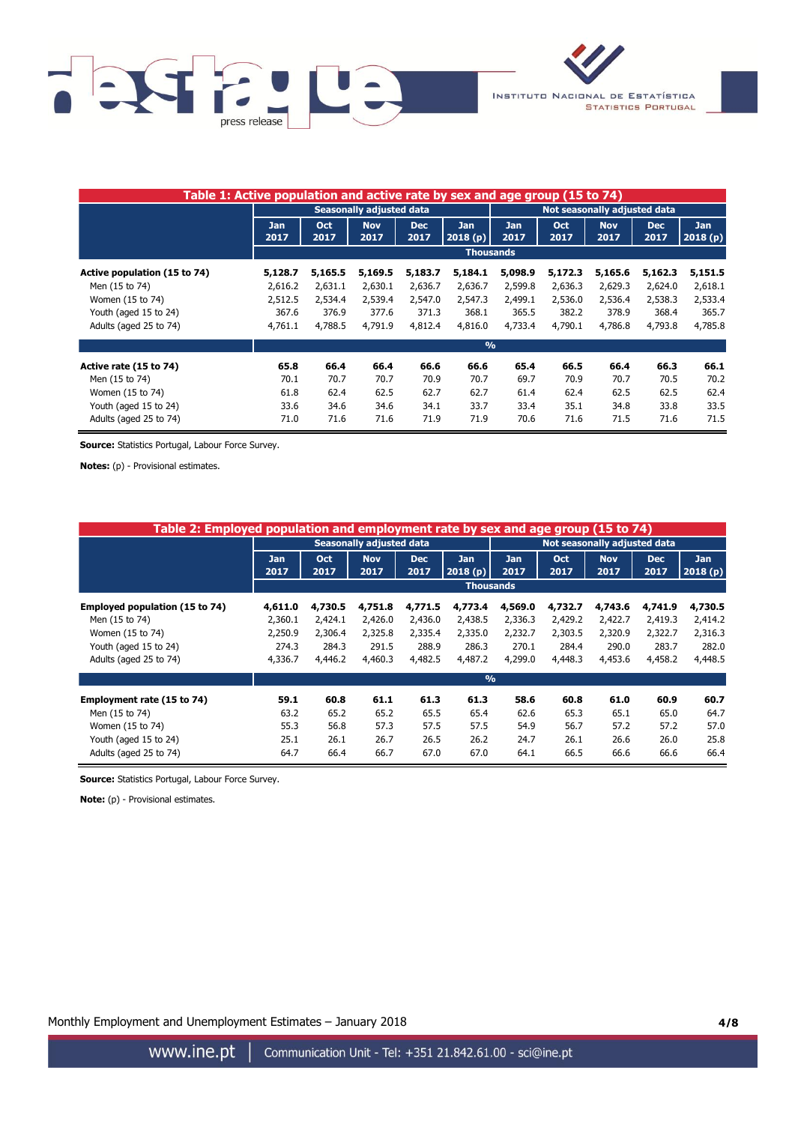



| Table 1: Active population and active rate by sex and age group (15 to 74) |                                 |            |            |            |            |                              |            |            |            |            |
|----------------------------------------------------------------------------|---------------------------------|------------|------------|------------|------------|------------------------------|------------|------------|------------|------------|
|                                                                            | <b>Seasonally adjusted data</b> |            |            |            |            | Not seasonally adjusted data |            |            |            |            |
|                                                                            | <b>Jan</b>                      | <b>Oct</b> | <b>Nov</b> | <b>Dec</b> | <b>Jan</b> | Jan                          | <b>Oct</b> | <b>Nov</b> | <b>Dec</b> | <b>Jan</b> |
|                                                                            | 2017                            | 2017       | 2017       | 2017       | 2018(p)    | 2017                         | 2017       | 2017       | 2017       | 2018(p)    |
|                                                                            | <b>Thousands</b>                |            |            |            |            |                              |            |            |            |            |
| Active population (15 to 74)                                               | 5,128.7                         | 5,165.5    | 5,169.5    | 5,183.7    | 5,184.1    | 5,098.9                      | 5,172.3    | 5,165.6    | 5,162.3    | 5,151.5    |
| Men (15 to 74)                                                             | 2,616.2                         | 2,631.1    | 2,630.1    | 2,636.7    | 2,636.7    | 2,599.8                      | 2,636.3    | 2,629.3    | 2,624.0    | 2,618.1    |
| Women (15 to 74)                                                           | 2,512.5                         | 2,534.4    | 2,539.4    | 2,547.0    | 2,547.3    | 2,499.1                      | 2,536.0    | 2,536.4    | 2,538.3    | 2,533.4    |
| Youth (aged 15 to 24)                                                      | 367.6                           | 376.9      | 377.6      | 371.3      | 368.1      | 365.5                        | 382.2      | 378.9      | 368.4      | 365.7      |
| Adults (aged 25 to 74)                                                     | 4,761.1                         | 4,788.5    | 4,791.9    | 4,812.4    | 4,816.0    | 4,733.4                      | 4,790.1    | 4,786.8    | 4,793.8    | 4,785.8    |
|                                                                            | $\frac{0}{0}$                   |            |            |            |            |                              |            |            |            |            |
| Active rate (15 to 74)                                                     | 65.8                            | 66.4       | 66.4       | 66.6       | 66.6       | 65.4                         | 66.5       | 66.4       | 66.3       | 66.1       |
| Men (15 to 74)                                                             | 70.1                            | 70.7       | 70.7       | 70.9       | 70.7       | 69.7                         | 70.9       | 70.7       | 70.5       | 70.2       |
| Women (15 to 74)                                                           | 61.8                            | 62.4       | 62.5       | 62.7       | 62.7       | 61.4                         | 62.4       | 62.5       | 62.5       | 62.4       |
| Youth (aged 15 to 24)                                                      | 33.6                            | 34.6       | 34.6       | 34.1       | 33.7       | 33.4                         | 35.1       | 34.8       | 33.8       | 33.5       |
| Adults (aged 25 to 74)                                                     | 71.0                            | 71.6       | 71.6       | 71.9       | 71.9       | 70.6                         | 71.6       | 71.5       | 71.6       | 71.5       |

**Source:** Statistics Portugal, Labour Force Survey.

**Notes:** (p) - Provisional estimates.

| Table 2: Employed population and employment rate by sex and age group (15 to 74) |                                 |             |                    |                    |                       |                              |             |                    |                    |                       |  |
|----------------------------------------------------------------------------------|---------------------------------|-------------|--------------------|--------------------|-----------------------|------------------------------|-------------|--------------------|--------------------|-----------------------|--|
|                                                                                  | <b>Seasonally adjusted data</b> |             |                    |                    |                       | Not seasonally adjusted data |             |                    |                    |                       |  |
|                                                                                  | <b>Jan</b><br>2017              | Oct<br>2017 | <b>Nov</b><br>2017 | <b>Dec</b><br>2017 | <b>Jan</b><br>2018(p) | Jan<br>2017                  | Oct<br>2017 | <b>Nov</b><br>2017 | <b>Dec</b><br>2017 | <b>Jan</b><br>2018(p) |  |
|                                                                                  | <b>Thousands</b>                |             |                    |                    |                       |                              |             |                    |                    |                       |  |
| Employed population (15 to 74)                                                   | 4,611.0                         | 4,730.5     | 4,751.8            | 4,771.5            | 4,773.4               | 4,569.0                      | 4,732.7     | 4,743.6            | 4,741.9            | 4,730.5               |  |
| Men (15 to 74)                                                                   | 2,360.1                         | 2,424.1     | 2,426.0            | 2,436.0            | 2,438.5               | 2,336.3                      | 2,429.2     | 2,422.7            | 2,419.3            | 2,414.2               |  |
| Women (15 to 74)                                                                 | 2,250.9                         | 2,306.4     | 2,325.8            | 2,335.4            | 2,335.0               | 2,232.7                      | 2,303.5     | 2,320.9            | 2,322.7            | 2,316.3               |  |
| Youth (aged 15 to 24)                                                            | 274.3                           | 284.3       | 291.5              | 288.9              | 286.3                 | 270.1                        | 284.4       | 290.0              | 283.7              | 282.0                 |  |
| Adults (aged 25 to 74)                                                           | 4,336.7                         | 4,446.2     | 4,460.3            | 4,482.5            | 4,487.2               | 4,299.0                      | 4,448.3     | 4,453.6            | 4,458.2            | 4,448.5               |  |
|                                                                                  | $\frac{9}{6}$                   |             |                    |                    |                       |                              |             |                    |                    |                       |  |
| Employment rate (15 to 74)                                                       | 59.1                            | 60.8        | 61.1               | 61.3               | 61.3                  | 58.6                         | 60.8        | 61.0               | 60.9               | 60.7                  |  |
| Men (15 to 74)                                                                   | 63.2                            | 65.2        | 65.2               | 65.5               | 65.4                  | 62.6                         | 65.3        | 65.1               | 65.0               | 64.7                  |  |
| Women (15 to 74)                                                                 | 55.3                            | 56.8        | 57.3               | 57.5               | 57.5                  | 54.9                         | 56.7        | 57.2               | 57.2               | 57.0                  |  |
| Youth (aged 15 to 24)                                                            | 25.1                            | 26.1        | 26.7               | 26.5               | 26.2                  | 24.7                         | 26.1        | 26.6               | 26.0               | 25.8                  |  |
| Adults (aged 25 to 74)                                                           | 64.7                            | 66.4        | 66.7               | 67.0               | 67.0                  | 64.1                         | 66.5        | 66.6               | 66.6               | 66.4                  |  |

**Source:** Statistics Portugal, Labour Force Survey.

**Note:** (p) - Provisional estimates.

Monthly Employment and Unemployment Estimates – January 2018 **4/8**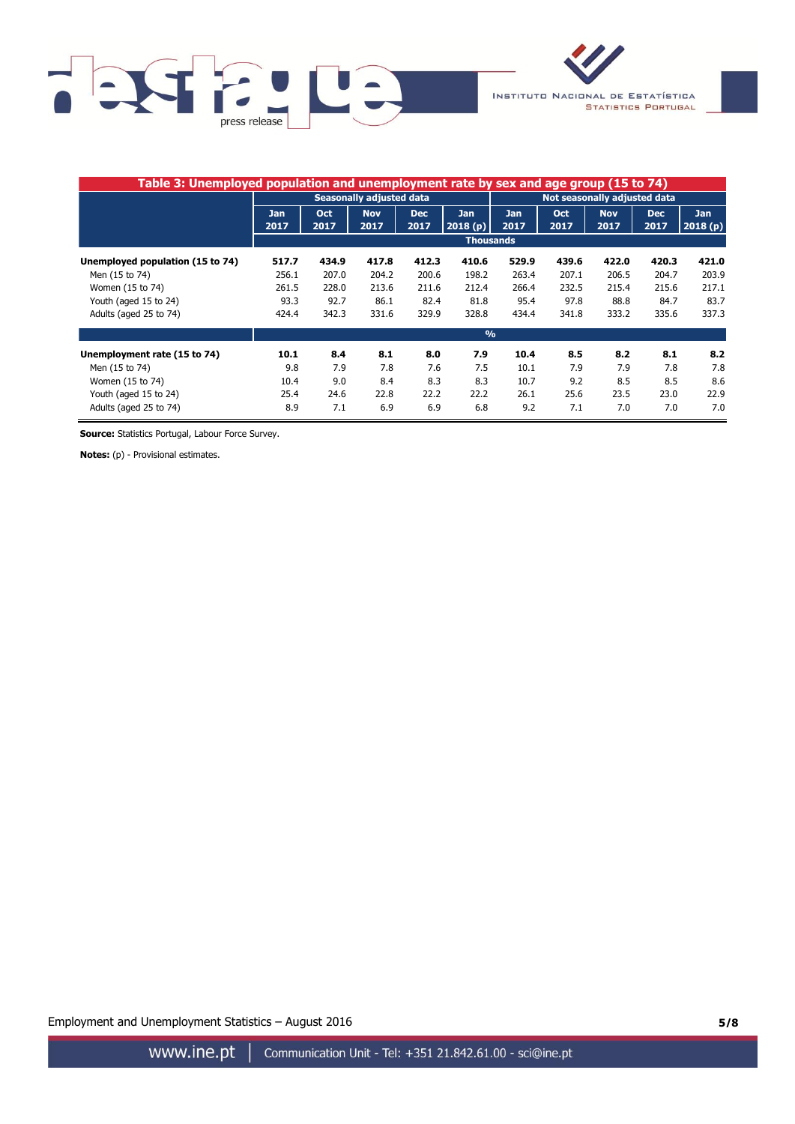



| Table 3: Unemployed population and unemployment rate by sex and age group (15 to 74) |                                 |            |            |            |                              |       |       |            |            |         |
|--------------------------------------------------------------------------------------|---------------------------------|------------|------------|------------|------------------------------|-------|-------|------------|------------|---------|
|                                                                                      | <b>Seasonally adjusted data</b> |            |            |            | Not seasonally adjusted data |       |       |            |            |         |
|                                                                                      | <b>Jan</b>                      | <b>Oct</b> | <b>Nov</b> | <b>Dec</b> | Jan                          | Jan   | Oct   | <b>Nov</b> | <b>Dec</b> | Jan     |
|                                                                                      | 2017                            | 2017       | 2017       | 2017       | 2018(p)                      | 2017  | 2017  | 2017       | 2017       | 2018(p) |
|                                                                                      | <b>Thousands</b>                |            |            |            |                              |       |       |            |            |         |
| Unemployed population (15 to 74)                                                     | 517.7                           | 434.9      | 417.8      | 412.3      | 410.6                        | 529.9 | 439.6 | 422.0      | 420.3      | 421.0   |
| Men (15 to 74)                                                                       | 256.1                           | 207.0      | 204.2      | 200.6      | 198.2                        | 263.4 | 207.1 | 206.5      | 204.7      | 203.9   |
| Women (15 to 74)                                                                     | 261.5                           | 228.0      | 213.6      | 211.6      | 212.4                        | 266.4 | 232.5 | 215.4      | 215.6      | 217.1   |
| Youth (aged 15 to 24)                                                                | 93.3                            | 92.7       | 86.1       | 82.4       | 81.8                         | 95.4  | 97.8  | 88.8       | 84.7       | 83.7    |
| Adults (aged 25 to 74)                                                               | 424.4                           | 342.3      | 331.6      | 329.9      | 328.8                        | 434.4 | 341.8 | 333.2      | 335.6      | 337.3   |
|                                                                                      | $\frac{9}{6}$                   |            |            |            |                              |       |       |            |            |         |
| Unemployment rate (15 to 74)                                                         | 10.1                            | 8.4        | 8.1        | 8.0        | 7.9                          | 10.4  | 8.5   | 8.2        | 8.1        | 8.2     |
| Men (15 to 74)                                                                       | 9.8                             | 7.9        | 7.8        | 7.6        | 7.5                          | 10.1  | 7.9   | 7.9        | 7.8        | 7.8     |
| Women (15 to 74)                                                                     | 10.4                            | 9.0        | 8.4        | 8.3        | 8.3                          | 10.7  | 9.2   | 8.5        | 8.5        | 8.6     |
| Youth (aged 15 to 24)                                                                | 25.4                            | 24.6       | 22.8       | 22.2       | 22.2                         | 26.1  | 25.6  | 23.5       | 23.0       | 22.9    |
| Adults (aged 25 to 74)                                                               | 8.9                             | 7.1        | 6.9        | 6.9        | 6.8                          | 9.2   | 7.1   | 7.0        | 7.0        | 7.0     |

**Source:** Statistics Portugal, Labour Force Survey.

**Notes:** (p) - Provisional estimates.

Employment and Unemployment Statistics – August 2016 **5/8**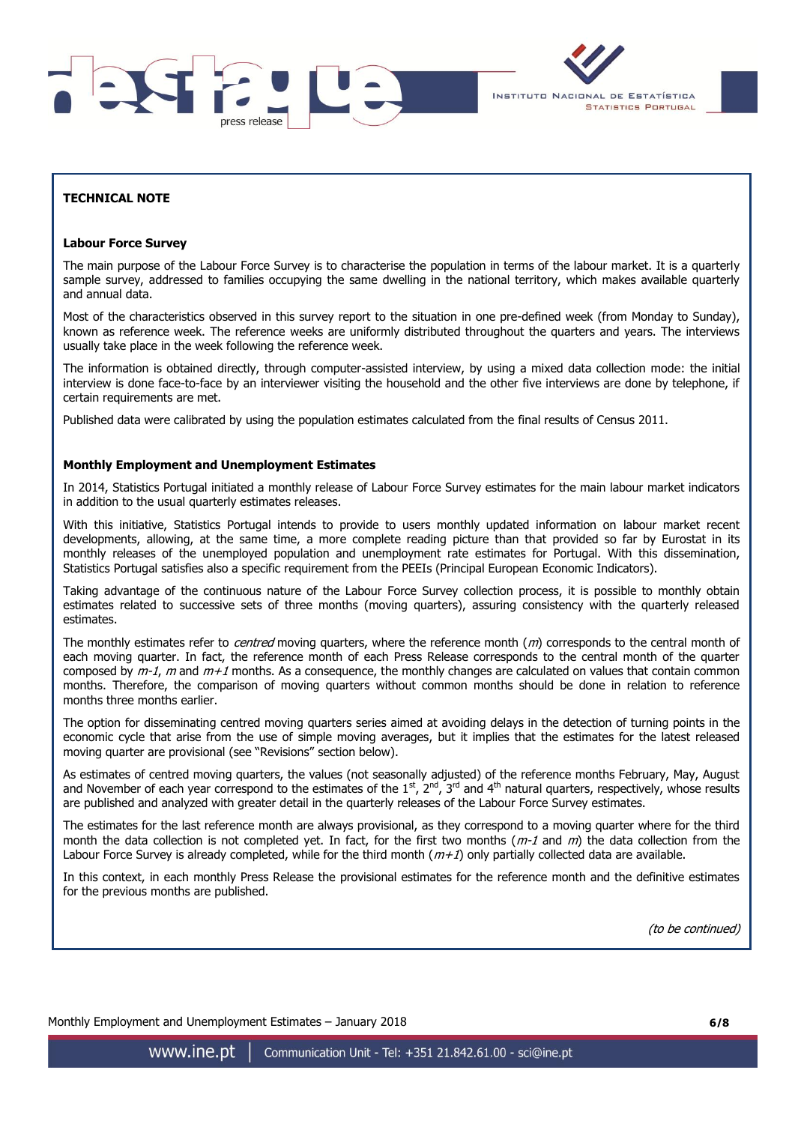



## **TECHNICAL NOTE**

#### **Labour Force Survey**

The main purpose of the Labour Force Survey is to characterise the population in terms of the labour market. It is a quarterly sample survey, addressed to families occupying the same dwelling in the national territory, which makes available quarterly and annual data.

Most of the characteristics observed in this survey report to the situation in one pre-defined week (from Monday to Sunday), known as reference week. The reference weeks are uniformly distributed throughout the quarters and years. The interviews usually take place in the week following the reference week.

The information is obtained directly, through computer-assisted interview, by using a mixed data collection mode: the initial interview is done face-to-face by an interviewer visiting the household and the other five interviews are done by telephone, if certain requirements are met.

Published data were calibrated by using the population estimates calculated from the final results of Census 2011.

#### **Monthly Employment and Unemployment Estimates**

In 2014, Statistics Portugal initiated a monthly release of Labour Force Survey estimates for the main labour market indicators in addition to the usual quarterly estimates releases.

With this initiative, Statistics Portugal intends to provide to users monthly updated information on labour market recent developments, allowing, at the same time, a more complete reading picture than that provided so far by Eurostat in its monthly releases of the unemployed population and unemployment rate estimates for Portugal. With this dissemination, Statistics Portugal satisfies also a specific requirement from the PEEIs (Principal European Economic Indicators).

Taking advantage of the continuous nature of the Labour Force Survey collection process, it is possible to monthly obtain estimates related to successive sets of three months (moving quarters), assuring consistency with the quarterly released estimates.

The monthly estimates refer to *centred* moving quarters, where the reference month  $(m)$  corresponds to the central month of each moving quarter. In fact, the reference month of each Press Release corresponds to the central month of the quarter composed by  $m-1$ , m and  $m+1$  months. As a consequence, the monthly changes are calculated on values that contain common months. Therefore, the comparison of moving quarters without common months should be done in relation to reference months three months earlier.

The option for disseminating centred moving quarters series aimed at avoiding delays in the detection of turning points in the economic cycle that arise from the use of simple moving averages, but it implies that the estimates for the latest released moving quarter are provisional (see "Revisions" section below).

As estimates of centred moving quarters, the values (not seasonally adjusted) of the reference months February, May, August and November of each year correspond to the estimates of the 1<sup>st</sup>, 2<sup>nd</sup>, 3<sup>rd</sup> and 4<sup>th</sup> natural quarters, respectively, whose results are published and analyzed with greater detail in the quarterly releases of the Labour Force Survey estimates.

The estimates for the last reference month are always provisional, as they correspond to a moving quarter where for the third month the data collection is not completed yet. In fact, for the first two months ( $m-1$  and  $m$ ) the data collection from the Labour Force Survey is already completed, while for the third month ( $m+1$ ) only partially collected data are available.

In this context, in each monthly Press Release the provisional estimates for the reference month and the definitive estimates for the previous months are published.

(to be continued)

Monthly Employment and Unemployment Estimates – January 2018 **6/8**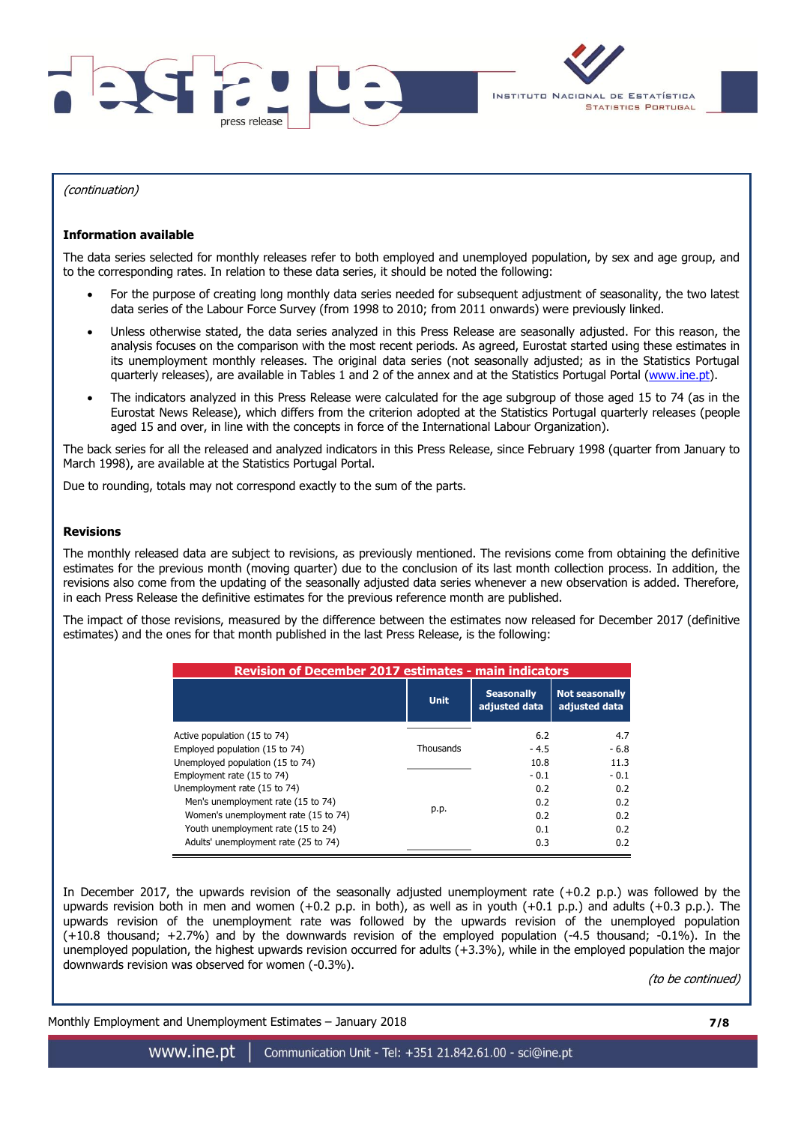



(continuation)

## **Information available**

The data series selected for monthly releases refer to both employed and unemployed population, by sex and age group, and to the corresponding rates. In relation to these data series, it should be noted the following:

- For the purpose of creating long monthly data series needed for subsequent adjustment of seasonality, the two latest data series of the Labour Force Survey (from 1998 to 2010; from 2011 onwards) were previously linked.
- Unless otherwise stated, the data series analyzed in this Press Release are seasonally adjusted. For this reason, the analysis focuses on the comparison with the most recent periods. As agreed, Eurostat started using these estimates in its unemployment monthly releases. The original data series (not seasonally adjusted; as in the Statistics Portugal quarterly releases), are available in Tables 1 and 2 of the annex and at the Statistics Portugal Portal [\(www.ine.pt\)](../2016_09/www.ine.pt).
- The indicators analyzed in this Press Release were calculated for the age subgroup of those aged 15 to 74 (as in the Eurostat News Release), which differs from the criterion adopted at the Statistics Portugal quarterly releases (people aged 15 and over, in line with the concepts in force of the International Labour Organization).

The back series for all the released and analyzed indicators in this Press Release, since February 1998 (quarter from January to March 1998), are available at the Statistics Portugal Portal.

Due to rounding, totals may not correspond exactly to the sum of the parts.

#### **Revisions**

The monthly released data are subject to revisions, as previously mentioned. The revisions come from obtaining the definitive estimates for the previous month (moving quarter) due to the conclusion of its last month collection process. In addition, the revisions also come from the updating of the seasonally adjusted data series whenever a new observation is added. Therefore, in each Press Release the definitive estimates for the previous reference month are published.

The impact of those revisions, measured by the difference between the estimates now released for December 2017 (definitive estimates) and the ones for that month published in the last Press Release, is the following:

| <b>Revision of December 2017 estimates - main indicators</b> |           |                                    |                                        |  |  |  |  |  |  |
|--------------------------------------------------------------|-----------|------------------------------------|----------------------------------------|--|--|--|--|--|--|
|                                                              | Unit.     | <b>Seasonally</b><br>adjusted data | <b>Not seasonally</b><br>adjusted data |  |  |  |  |  |  |
| Active population (15 to 74)                                 |           | 6.2                                | 4.7                                    |  |  |  |  |  |  |
| Employed population (15 to 74)                               | Thousands | $-4.5$                             | $-6.8$                                 |  |  |  |  |  |  |
| Unemployed population (15 to 74)                             |           | 10.8                               | 11.3                                   |  |  |  |  |  |  |
| Employment rate (15 to 74)                                   |           | $-0.1$                             | $-0.1$                                 |  |  |  |  |  |  |
| Unemployment rate (15 to 74)                                 |           | 0.2                                | 0.2                                    |  |  |  |  |  |  |
| Men's unemployment rate (15 to 74)                           |           | 0.2                                | 0.2                                    |  |  |  |  |  |  |
| Women's unemployment rate (15 to 74)                         | p.p.      | 0.2                                | 0.2                                    |  |  |  |  |  |  |
| Youth unemployment rate (15 to 24)                           |           | 0.1                                | 0.2                                    |  |  |  |  |  |  |
| Adults' unemployment rate (25 to 74)                         |           | 0.3                                | 0.2                                    |  |  |  |  |  |  |

In December 2017, the upwards revision of the seasonally adjusted unemployment rate (+0.2 p.p.) was followed by the upwards revision both in men and women (+0.2 p.p. in both), as well as in youth (+0.1 p.p.) and adults (+0.3 p.p.). The upwards revision of the unemployment rate was followed by the upwards revision of the unemployed population (+10.8 thousand; +2.7%) and by the downwards revision of the employed population (-4.5 thousand; -0.1%). In the unemployed population, the highest upwards revision occurred for adults (+3.3%), while in the employed population the major downwards revision was observed for women (-0.3%).

(to be continued)

Monthly Employment and Unemployment Estimates – January 2018 **7/8**